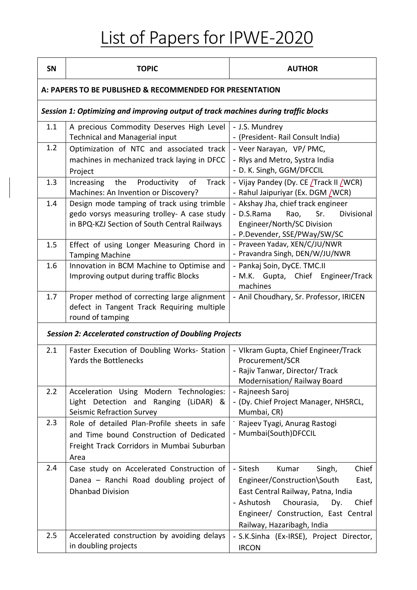## List of Papers for IPWE-2020

| SN                                                                                 | <b>TOPIC</b>                                                                                                                                   | <b>AUTHOR</b>                                                                                                                                                                                                                        |  |  |
|------------------------------------------------------------------------------------|------------------------------------------------------------------------------------------------------------------------------------------------|--------------------------------------------------------------------------------------------------------------------------------------------------------------------------------------------------------------------------------------|--|--|
| A: PAPERS TO BE PUBLISHED & RECOMMENDED FOR PRESENTATION                           |                                                                                                                                                |                                                                                                                                                                                                                                      |  |  |
| Session 1: Optimizing and improving output of track machines during traffic blocks |                                                                                                                                                |                                                                                                                                                                                                                                      |  |  |
| 1.1                                                                                | A precious Commodity Deserves High Level<br><b>Technical and Managerial input</b>                                                              | - J.S. Mundrey<br>- (President- Rail Consult India)                                                                                                                                                                                  |  |  |
| 1.2                                                                                | Optimization of NTC and associated track<br>machines in mechanized track laying in DFCC<br>Project                                             | - Veer Narayan, VP/PMC,<br>- Rlys and Metro, Systra India<br>- D. K. Singh, GGM/DFCCIL                                                                                                                                               |  |  |
| 1.3                                                                                | Productivity<br>Increasing<br>the<br>of<br><b>Track</b><br>Machines: An Invention or Discovery?                                                | - Vijay Pandey (Dy. CE Track II (WCR)<br>- Rahul Jaipuriyar (Ex. DGM / WCR)                                                                                                                                                          |  |  |
| 1.4                                                                                | Design mode tamping of track using trimble<br>gedo vorsys measuring trolley- A case study<br>in BPQ-KZJ Section of South Central Railways      | - Akshay Jha, chief track engineer<br>- D.S.Rama<br>Sr.<br>Divisional<br>Rao,<br>Engineer/North/SC Division<br>- P.Devender, SSE/PWay/SW/SC                                                                                          |  |  |
| 1.5                                                                                | Effect of using Longer Measuring Chord in<br><b>Tamping Machine</b>                                                                            | - Praveen Yadav, XEN/C/JU/NWR<br>- Pravandra Singh, DEN/W/JU/NWR                                                                                                                                                                     |  |  |
| 1.6                                                                                | Innovation in BCM Machine to Optimise and<br>Improving output during traffic Blocks                                                            | - Pankaj Soin, DyCE. TMC.II<br>- M.K. Gupta, Chief Engineer/Track<br>machines                                                                                                                                                        |  |  |
| 1.7                                                                                | Proper method of correcting large alignment<br>defect in Tangent Track Requiring multiple<br>round of tamping                                  | - Anil Choudhary, Sr. Professor, IRICEN                                                                                                                                                                                              |  |  |
| <b>Session 2: Accelerated construction of Doubling Projects</b>                    |                                                                                                                                                |                                                                                                                                                                                                                                      |  |  |
| 2.1                                                                                | Faster Execution of Doubling Works- Station<br><b>Yards the Bottlenecks</b>                                                                    | - VIkram Gupta, Chief Engineer/Track<br>Procurement/SCR<br>- Rajiv Tanwar, Director/ Track<br>Modernisation/Railway Board                                                                                                            |  |  |
| 2.2                                                                                | Acceleration Using Modern Technologies:<br>Light Detection and Ranging (LiDAR) &<br><b>Seismic Refraction Survey</b>                           | - Rajneesh Saroj<br>- (Dy. Chief Project Manager, NHSRCL,<br>Mumbai, CR)                                                                                                                                                             |  |  |
| 2.3                                                                                | Role of detailed Plan-Profile sheets in safe<br>and Time bound Construction of Dedicated<br>Freight Track Corridors in Mumbai Suburban<br>Area | Rajeev Tyagi, Anurag Rastogi<br>- Mumbai(South)DFCCIL                                                                                                                                                                                |  |  |
| 2.4                                                                                | Case study on Accelerated Construction of<br>Danea - Ranchi Road doubling project of<br><b>Dhanbad Division</b>                                | Chief<br>- Sitesh<br>Kumar<br>Singh,<br>Engineer/Construction\South<br>East,<br>East Central Railway, Patna, India<br>- Ashutosh<br>Chourasia,<br>Chief<br>Dy.<br>Engineer/ Construction, East Central<br>Railway, Hazaribagh, India |  |  |
| 2.5                                                                                | Accelerated construction by avoiding delays<br>in doubling projects                                                                            | - S.K.Sinha (Ex-IRSE), Project Director,<br><b>IRCON</b>                                                                                                                                                                             |  |  |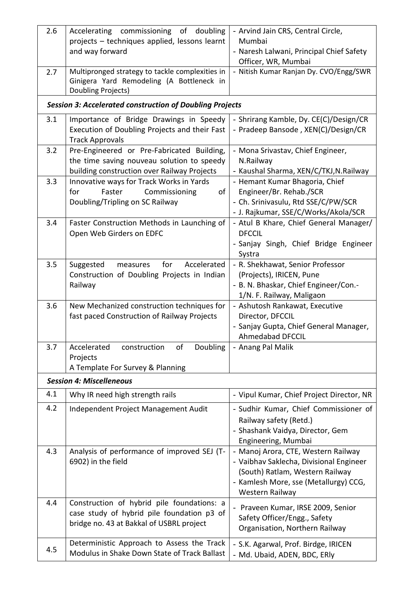| 2.6 | Accelerating commissioning of doubling                                                                                                  | - Arvind Jain CRS, Central Circle,                                                                                                                                            |  |  |
|-----|-----------------------------------------------------------------------------------------------------------------------------------------|-------------------------------------------------------------------------------------------------------------------------------------------------------------------------------|--|--|
|     | projects - techniques applied, lessons learnt                                                                                           | Mumbai                                                                                                                                                                        |  |  |
|     | and way forward                                                                                                                         | - Naresh Lalwani, Principal Chief Safety                                                                                                                                      |  |  |
| 2.7 | Multipronged strategy to tackle complexities in                                                                                         | Officer, WR, Mumbai<br>- Nitish Kumar Ranjan Dy. CVO/Engg/SWR                                                                                                                 |  |  |
|     | Ginigera Yard Remodeling (A Bottleneck in<br>Doubling Projects)                                                                         |                                                                                                                                                                               |  |  |
|     | <b>Session 3: Accelerated construction of Doubling Projects</b>                                                                         |                                                                                                                                                                               |  |  |
| 3.1 | Importance of Bridge Drawings in Speedy<br>Execution of Doubling Projects and their Fast<br><b>Track Approvals</b>                      | - Shrirang Kamble, Dy. CE(C)/Design/CR<br>- Pradeep Bansode, XEN(C)/Design/CR                                                                                                 |  |  |
| 3.2 | Pre-Engineered or Pre-Fabricated Building,<br>the time saving nouveau solution to speedy<br>building construction over Railway Projects | - Mona Srivastav, Chief Engineer,<br>N.Railway<br>- Kaushal Sharma, XEN/C/TKJ,N.Railway                                                                                       |  |  |
| 3.3 | Innovative ways for Track Works in Yards<br>Faster<br>Commissioning<br>for<br>of<br>Doubling/Tripling on SC Railway                     | - Hemant Kumar Bhagoria, Chief<br>Engineer/Br. Rehab./SCR<br>- Ch. Srinivasulu, Rtd SSE/C/PW/SCR<br>- J. Rajkumar, SSE/C/Works/Akola/SCR                                      |  |  |
| 3.4 | Faster Construction Methods in Launching of<br>Open Web Girders on EDFC                                                                 | - Atul B Khare, Chief General Manager/<br><b>DFCCIL</b><br>- Sanjay Singh, Chief Bridge Engineer<br>Systra                                                                    |  |  |
| 3.5 | Suggested<br>for<br>Accelerated<br>measures<br>Construction of Doubling Projects in Indian<br>Railway                                   | - R. Shekhawat, Senior Professor<br>(Projects), IRICEN, Pune<br>- B. N. Bhaskar, Chief Engineer/Con.-<br>1/N. F. Railway, Maligaon                                            |  |  |
| 3.6 | New Mechanized construction techniques for<br>fast paced Construction of Railway Projects                                               | - Ashutosh Rankawat, Executive<br>Director, DFCCIL<br>- Sanjay Gupta, Chief General Manager,<br><b>Ahmedabad DFCCIL</b>                                                       |  |  |
| 3.7 | Doubling<br>Accelerated<br>construction<br>of<br>Projects<br>A Template For Survey & Planning                                           | - Anang Pal Malik                                                                                                                                                             |  |  |
|     | <b>Session 4: Miscelleneous</b>                                                                                                         |                                                                                                                                                                               |  |  |
| 4.1 | Why IR need high strength rails                                                                                                         | - Vipul Kumar, Chief Project Director, NR                                                                                                                                     |  |  |
| 4.2 | Independent Project Management Audit                                                                                                    | - Sudhir Kumar, Chief Commissioner of<br>Railway safety (Retd.)<br>- Shashank Vaidya, Director, Gem<br>Engineering, Mumbai                                                    |  |  |
| 4.3 | Analysis of performance of improved SEJ (T-<br>6902) in the field                                                                       | - Manoj Arora, CTE, Western Railway<br>- Vaibhav Saklecha, Divisional Engineer<br>(South) Ratlam, Western Railway<br>- Kamlesh More, sse (Metallurgy) CCG,<br>Western Railway |  |  |
| 4.4 | Construction of hybrid pile foundations: a<br>case study of hybrid pile foundation p3 of<br>bridge no. 43 at Bakkal of USBRL project    | - Praveen Kumar, IRSE 2009, Senior<br>Safety Officer/Engg., Safety<br>Organisation, Northern Railway                                                                          |  |  |
| 4.5 | Deterministic Approach to Assess the Track<br>Modulus in Shake Down State of Track Ballast                                              | - S.K. Agarwal, Prof. Birdge, IRICEN<br>- Md. Ubaid, ADEN, BDC, ERly                                                                                                          |  |  |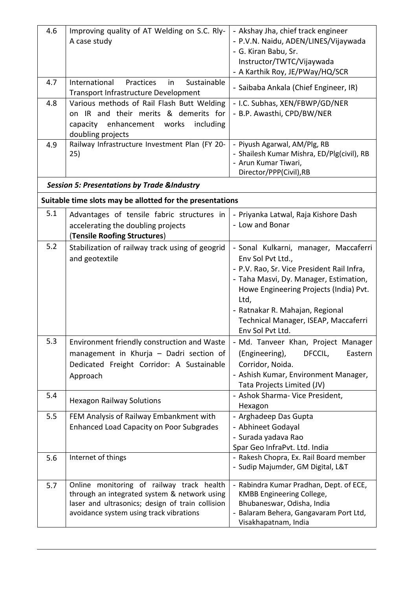| 4.6 | Improving quality of AT Welding on S.C. Rly-<br>A case study                                                                                                                             | - Akshay Jha, chief track engineer<br>- P.V.N. Naidu, ADEN/LINES/Vijaywada<br>- G. Kiran Babu, Sr.<br>Instructor/TWTC/Vijaywada                                                                                                                                                                     |
|-----|------------------------------------------------------------------------------------------------------------------------------------------------------------------------------------------|-----------------------------------------------------------------------------------------------------------------------------------------------------------------------------------------------------------------------------------------------------------------------------------------------------|
| 4.7 | Sustainable<br>International<br>Practices<br>in<br>Transport Infrastructure Development                                                                                                  | - A Karthik Roy, JE/PWay/HQ/SCR<br>- Saibaba Ankala (Chief Engineer, IR)                                                                                                                                                                                                                            |
| 4.8 | Various methods of Rail Flash Butt Welding<br>on IR and their merits & demerits for<br>enhancement works<br>including<br>capacity<br>doubling projects                                   | - I.C. Subhas, XEN/FBWP/GD/NER<br>- B.P. Awasthi, CPD/BW/NER                                                                                                                                                                                                                                        |
| 4.9 | Railway Infrastructure Investment Plan (FY 20-<br>25)                                                                                                                                    | - Piyush Agarwal, AM/Plg, RB<br>- Shailesh Kumar Mishra, ED/Plg(civil), RB<br>- Arun Kumar Tiwari,<br>Director/PPP(Civil),RB                                                                                                                                                                        |
|     | <b>Session 5: Presentations by Trade &amp;Industry</b>                                                                                                                                   |                                                                                                                                                                                                                                                                                                     |
|     | Suitable time slots may be allotted for the presentations                                                                                                                                |                                                                                                                                                                                                                                                                                                     |
| 5.1 | Advantages of tensile fabric structures in<br>accelerating the doubling projects<br>(Tensile Roofing Structures)                                                                         | - Priyanka Latwal, Raja Kishore Dash<br>- Low and Bonar                                                                                                                                                                                                                                             |
| 5.2 | Stabilization of railway track using of geogrid<br>and geotextile                                                                                                                        | - Sonal Kulkarni, manager, Maccaferri<br>Env Sol Pvt Ltd.,<br>- P.V. Rao, Sr. Vice President Rail Infra,<br>- Taha Masvi, Dy. Manager, Estimation,<br>Howe Engineering Projects (India) Pvt.<br>Ltd,<br>- Ratnakar R. Mahajan, Regional<br>Technical Manager, ISEAP, Maccaferri<br>Env Sol Pvt Ltd. |
| 5.3 | Environment friendly construction and Waste<br>management in Khurja - Dadri section of<br>Dedicated Freight Corridor: A Sustainable<br>Approach                                          | - Md. Tanveer Khan, Project Manager<br>(Engineering),<br>Eastern<br>DFCCIL,<br>Corridor, Noida.<br>- Ashish Kumar, Environment Manager,<br>Tata Projects Limited (JV)                                                                                                                               |
| 5.4 | <b>Hexagon Railway Solutions</b>                                                                                                                                                         | - Ashok Sharma- Vice President,<br>Hexagon                                                                                                                                                                                                                                                          |
| 5.5 | FEM Analysis of Railway Embankment with<br><b>Enhanced Load Capacity on Poor Subgrades</b>                                                                                               | - Arghadeep Das Gupta<br>- Abhineet Godayal<br>- Surada yadava Rao<br>Spar Geo InfraPvt. Ltd. India                                                                                                                                                                                                 |
| 5.6 | Internet of things                                                                                                                                                                       | - Rakesh Chopra, Ex. Rail Board member<br>- Sudip Majumder, GM Digital, L&T                                                                                                                                                                                                                         |
| 5.7 | Online monitoring of railway track health<br>through an integrated system & network using<br>laser and ultrasonics; design of train collision<br>avoidance system using track vibrations | - Rabindra Kumar Pradhan, Dept. of ECE,<br>KMBB Engineering College,<br>Bhubaneswar, Odisha, India<br>Balaram Behera, Gangavaram Port Ltd,<br>Visakhapatnam, India                                                                                                                                  |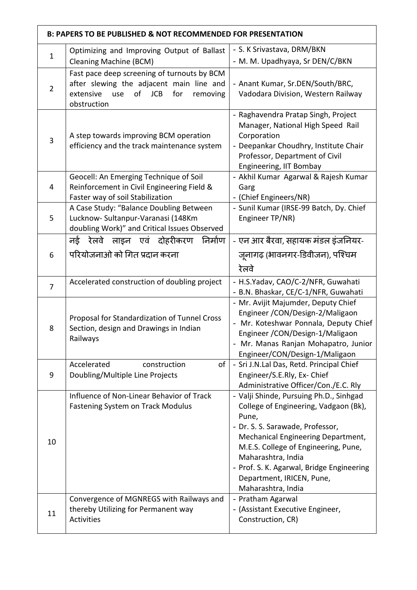|                | <b>B: PAPERS TO BE PUBLISHED &amp; NOT RECOMMENDED FOR PRESENTATION</b>                                                                                           |                                                                                                                                                                                                                                                                                                                                   |  |
|----------------|-------------------------------------------------------------------------------------------------------------------------------------------------------------------|-----------------------------------------------------------------------------------------------------------------------------------------------------------------------------------------------------------------------------------------------------------------------------------------------------------------------------------|--|
| $\mathbf{1}$   | Optimizing and Improving Output of Ballast<br><b>Cleaning Machine (BCM)</b>                                                                                       | - S. K Srivastava, DRM/BKN<br>- M. M. Upadhyaya, Sr DEN/C/BKN                                                                                                                                                                                                                                                                     |  |
| $\overline{2}$ | Fast pace deep screening of turnouts by BCM<br>after slewing the adjacent main line and<br>of<br><b>JCB</b><br>for<br>extensive<br>removing<br>use<br>obstruction | - Anant Kumar, Sr.DEN/South/BRC,<br>Vadodara Division, Western Railway                                                                                                                                                                                                                                                            |  |
| 3              | A step towards improving BCM operation<br>efficiency and the track maintenance system                                                                             | - Raghavendra Pratap Singh, Project<br>Manager, National High Speed Rail<br>Corporation<br>- Deepankar Choudhry, Institute Chair<br>Professor, Department of Civil<br>Engineering, IIT Bombay                                                                                                                                     |  |
| 4              | Geocell: An Emerging Technique of Soil<br>Reinforcement in Civil Engineering Field &<br>Faster way of soil Stabilization                                          | - Akhil Kumar Agarwal & Rajesh Kumar<br>Garg<br>- (Chief Engineers/NR)                                                                                                                                                                                                                                                            |  |
| 5              | A Case Study: "Balance Doubling Between<br>Lucknow- Sultanpur-Varanasi (148Km<br>doubling Work)" and Critical Issues Observed                                     | - Sunil Kumar (IRSE-99 Batch, Dy. Chief<br>Engineer TP/NR)                                                                                                                                                                                                                                                                        |  |
| 6              | निर्माण<br>नई रेलवे लाइन एवं दोहरीकरण<br>परियोजनाओ को गित प्रदान करना                                                                                             | - एन आर बैरवा, सहायक मंडल इंजनियर-<br>जूनागढ़ (भावनगर-डिवीजन), पश्चिम<br>रेलवे                                                                                                                                                                                                                                                    |  |
| $\overline{7}$ | Accelerated construction of doubling project                                                                                                                      | - H.S.Yadav, CAO/C-2/NFR, Guwahati<br>- B.N. Bhaskar, CE/C-1/NFR, Guwahati                                                                                                                                                                                                                                                        |  |
| 8              | Proposal for Standardization of Tunnel Cross<br>Section, design and Drawings in Indian<br>Railways                                                                | - Mr. Avijit Majumder, Deputy Chief<br>Engineer / CON/Design-2/Maligaon<br>Mr. Koteshwar Ponnala, Deputy Chief<br>Engineer / CON/Design-1/Maligaon<br>- Mr. Manas Ranjan Mohapatro, Junior<br>Engineer/CON/Design-1/Maligaon                                                                                                      |  |
| 9              | Accelerated<br>of<br>construction<br>Doubling/Multiple Line Projects                                                                                              | - Sri J.N.Lal Das, Retd. Principal Chief<br>Engineer/S.E.Rly, Ex- Chief<br>Administrative Officer/Con./E.C. Rly                                                                                                                                                                                                                   |  |
| 10             | Influence of Non-Linear Behavior of Track<br><b>Fastening System on Track Modulus</b>                                                                             | - Valji Shinde, Pursuing Ph.D., Sinhgad<br>College of Engineering, Vadgaon (Bk),<br>Pune,<br>- Dr. S. S. Sarawade, Professor,<br>Mechanical Engineering Department,<br>M.E.S. College of Engineering, Pune,<br>Maharashtra, India<br>- Prof. S. K. Agarwal, Bridge Engineering<br>Department, IRICEN, Pune,<br>Maharashtra, India |  |
| 11             | Convergence of MGNREGS with Railways and<br>thereby Utilizing for Permanent way<br>Activities                                                                     | - Pratham Agarwal<br>- (Assistant Executive Engineer,<br>Construction, CR)                                                                                                                                                                                                                                                        |  |